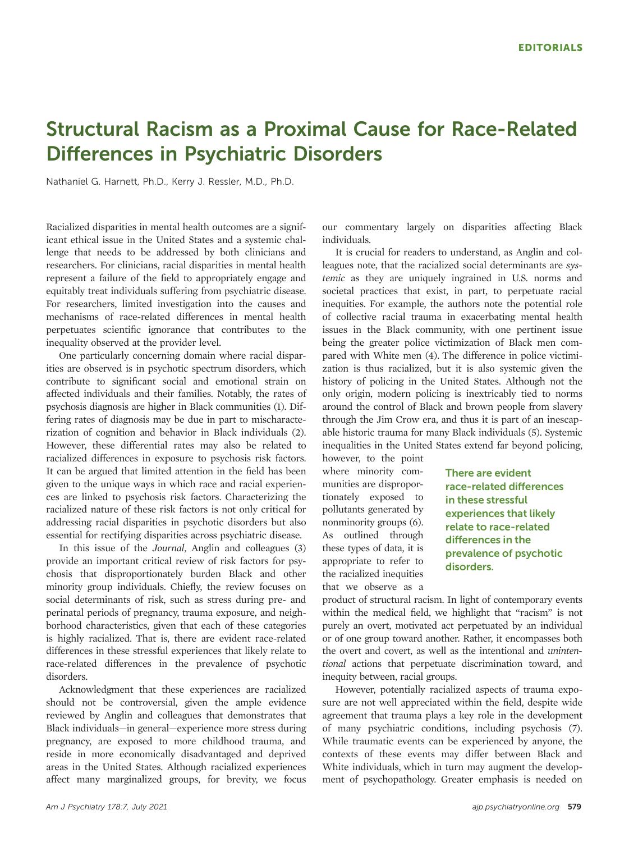## Structural Racism as a Proximal Cause for Race-Related Differences in Psychiatric Disorders

Nathaniel G. Harnett, Ph.D., Kerry J. Ressler, M.D., Ph.D.

Racialized disparities in mental health outcomes are a significant ethical issue in the United States and a systemic challenge that needs to be addressed by both clinicians and researchers. For clinicians, racial disparities in mental health represent a failure of the field to appropriately engage and equitably treat individuals suffering from psychiatric disease. For researchers, limited investigation into the causes and mechanisms of race-related differences in mental health perpetuates scientific ignorance that contributes to the inequality observed at the provider level.

One particularly concerning domain where racial disparities are observed is in psychotic spectrum disorders, which contribute to significant social and emotional strain on affected individuals and their families. Notably, the rates of psychosis diagnosis are higher in Black communities ([1](#page-2-0)). Differing rates of diagnosis may be due in part to mischaracterization of cognition and behavior in Black individuals ([2](#page-2-0)). However, these differential rates may also be related to racialized differences in exposure to psychosis risk factors. It can be argued that limited attention in the field has been given to the unique ways in which race and racial experiences are linked to psychosis risk factors. Characterizing the racialized nature of these risk factors is not only critical for addressing racial disparities in psychotic disorders but also essential for rectifying disparities across psychiatric disease.

In this issue of the Journal, Anglin and colleagues [\(3\)](#page-2-0) provide an important critical review of risk factors for psychosis that disproportionately burden Black and other minority group individuals. Chiefly, the review focuses on social determinants of risk, such as stress during pre- and perinatal periods of pregnancy, trauma exposure, and neighborhood characteristics, given that each of these categories is highly racialized. That is, there are evident race-related differences in these stressful experiences that likely relate to race-related differences in the prevalence of psychotic disorders.

Acknowledgment that these experiences are racialized should not be controversial, given the ample evidence reviewed by Anglin and colleagues that demonstrates that Black individuals—in general—experience more stress during pregnancy, are exposed to more childhood trauma, and reside in more economically disadvantaged and deprived areas in the United States. Although racialized experiences affect many marginalized groups, for brevity, we focus

our commentary largely on disparities affecting Black individuals.

It is crucial for readers to understand, as Anglin and colleagues note, that the racialized social determinants are systemic as they are uniquely ingrained in U.S. norms and societal practices that exist, in part, to perpetuate racial inequities. For example, the authors note the potential role of collective racial trauma in exacerbating mental health issues in the Black community, with one pertinent issue being the greater police victimization of Black men compared with White men ([4\)](#page-2-0). The difference in police victimization is thus racialized, but it is also systemic given the history of policing in the United States. Although not the only origin, modern policing is inextricably tied to norms around the control of Black and brown people from slavery through the Jim Crow era, and thus it is part of an inescapable historic trauma for many Black individuals [\(5\)](#page-2-0). Systemic inequalities in the United States extend far beyond policing,

however, to the point where minority communities are disproportionately exposed to pollutants generated by nonminority groups [\(6\)](#page-2-0). As outlined through these types of data, it is appropriate to refer to the racialized inequities that we observe as a

There are evident race-related differences in these stressful experiences that likely relate to race-related differences in the prevalence of psychotic disorders.

product of structural racism. In light of contemporary events within the medical field, we highlight that "racism" is not purely an overt, motivated act perpetuated by an individual or of one group toward another. Rather, it encompasses both the overt and covert, as well as the intentional and unintentional actions that perpetuate discrimination toward, and inequity between, racial groups.

However, potentially racialized aspects of trauma exposure are not well appreciated within the field, despite wide agreement that trauma plays a key role in the development of many psychiatric conditions, including psychosis [\(7\)](#page-2-0). While traumatic events can be experienced by anyone, the contexts of these events may differ between Black and White individuals, which in turn may augment the development of psychopathology. Greater emphasis is needed on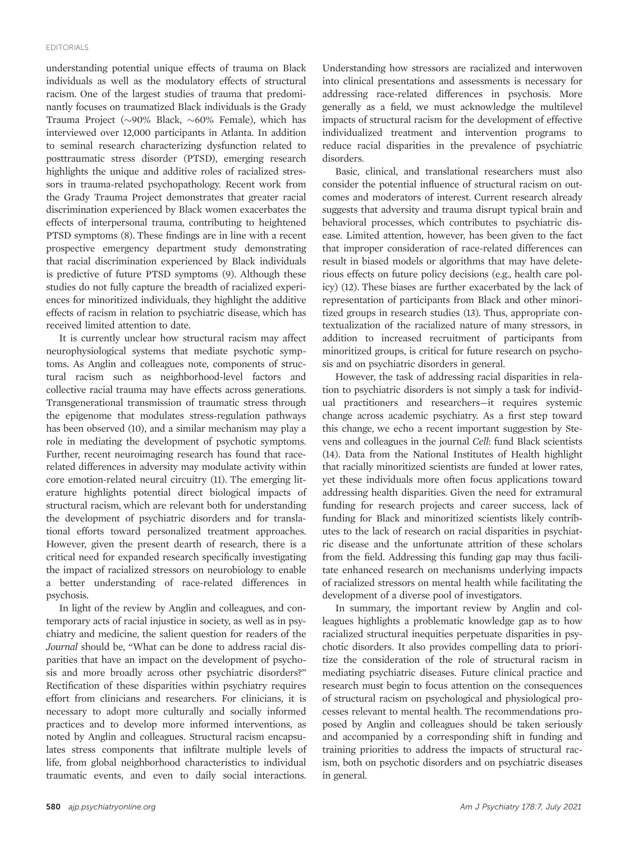understanding potential unique effects of trauma on Black individuals as well as the modulatory effects of structural racism. One of the largest studies of trauma that predominantly focuses on traumatized Black individuals is the Grady Trauma Project ( $\sim$ 90% Black,  $\sim$ 60% Female), which has interviewed over 12,000 participants in Atlanta. In addition to seminal research characterizing dysfunction related to posttraumatic stress disorder (PTSD), emerging research highlights the unique and additive roles of racialized stressors in trauma-related psychopathology. Recent work from the Grady Trauma Project demonstrates that greater racial discrimination experienced by Black women exacerbates the effects of interpersonal trauma, contributing to heightened PTSD symptoms [\(8](#page-2-0)). These findings are in line with a recent prospective emergency department study demonstrating that racial discrimination experienced by Black individuals is predictive of future PTSD symptoms [\(9\)](#page-2-0). Although these studies do not fully capture the breadth of racialized experiences for minoritized individuals, they highlight the additive effects of racism in relation to psychiatric disease, which has received limited attention to date.

It is currently unclear how structural racism may affect neurophysiological systems that mediate psychotic symptoms. As Anglin and colleagues note, components of structural racism such as neighborhood-level factors and collective racial trauma may have effects across generations. Transgenerational transmission of traumatic stress through the epigenome that modulates stress-regulation pathways has been observed [\(10](#page-2-0)), and a similar mechanism may play a role in mediating the development of psychotic symptoms. Further, recent neuroimaging research has found that racerelated differences in adversity may modulate activity within core emotion-related neural circuitry [\(11\)](#page-2-0). The emerging literature highlights potential direct biological impacts of structural racism, which are relevant both for understanding the development of psychiatric disorders and for translational efforts toward personalized treatment approaches. However, given the present dearth of research, there is a critical need for expanded research specifically investigating the impact of racialized stressors on neurobiology to enable a better understanding of race-related differences in psychosis.

In light of the review by Anglin and colleagues, and contemporary acts of racial injustice in society, as well as in psychiatry and medicine, the salient question for readers of the Journal should be, "What can be done to address racial disparities that have an impact on the development of psychosis and more broadly across other psychiatric disorders?" Rectification of these disparities within psychiatry requires effort from clinicians and researchers. For clinicians, it is necessary to adopt more culturally and socially informed practices and to develop more informed interventions, as noted by Anglin and colleagues. Structural racism encapsulates stress components that infiltrate multiple levels of life, from global neighborhood characteristics to individual traumatic events, and even to daily social interactions.

Understanding how stressors are racialized and interwoven into clinical presentations and assessments is necessary for addressing race-related differences in psychosis. More generally as a field, we must acknowledge the multilevel impacts of structural racism for the development of effective individualized treatment and intervention programs to reduce racial disparities in the prevalence of psychiatric disorders.

Basic, clinical, and translational researchers must also consider the potential influence of structural racism on outcomes and moderators of interest. Current research already suggests that adversity and trauma disrupt typical brain and behavioral processes, which contributes to psychiatric disease. Limited attention, however, has been given to the fact that improper consideration of race-related differences can result in biased models or algorithms that may have deleterious effects on future policy decisions (e.g., health care policy) ([12\)](#page-2-0). These biases are further exacerbated by the lack of representation of participants from Black and other minoritized groups in research studies [\(13](#page-2-0)). Thus, appropriate contextualization of the racialized nature of many stressors, in addition to increased recruitment of participants from minoritized groups, is critical for future research on psychosis and on psychiatric disorders in general.

However, the task of addressing racial disparities in relation to psychiatric disorders is not simply a task for individual practitioners and researchers—it requires systemic change across academic psychiatry. As a first step toward this change, we echo a recent important suggestion by Stevens and colleagues in the journal Cell: fund Black scientists [\(14](#page-2-0)). Data from the National Institutes of Health highlight that racially minoritized scientists are funded at lower rates, yet these individuals more often focus applications toward addressing health disparities. Given the need for extramural funding for research projects and career success, lack of funding for Black and minoritized scientists likely contributes to the lack of research on racial disparities in psychiatric disease and the unfortunate attrition of these scholars from the field. Addressing this funding gap may thus facilitate enhanced research on mechanisms underlying impacts of racialized stressors on mental health while facilitating the development of a diverse pool of investigators.

In summary, the important review by Anglin and colleagues highlights a problematic knowledge gap as to how racialized structural inequities perpetuate disparities in psychotic disorders. It also provides compelling data to prioritize the consideration of the role of structural racism in mediating psychiatric diseases. Future clinical practice and research must begin to focus attention on the consequences of structural racism on psychological and physiological processes relevant to mental health. The recommendations proposed by Anglin and colleagues should be taken seriously and accompanied by a corresponding shift in funding and training priorities to address the impacts of structural racism, both on psychotic disorders and on psychiatric diseases in general.